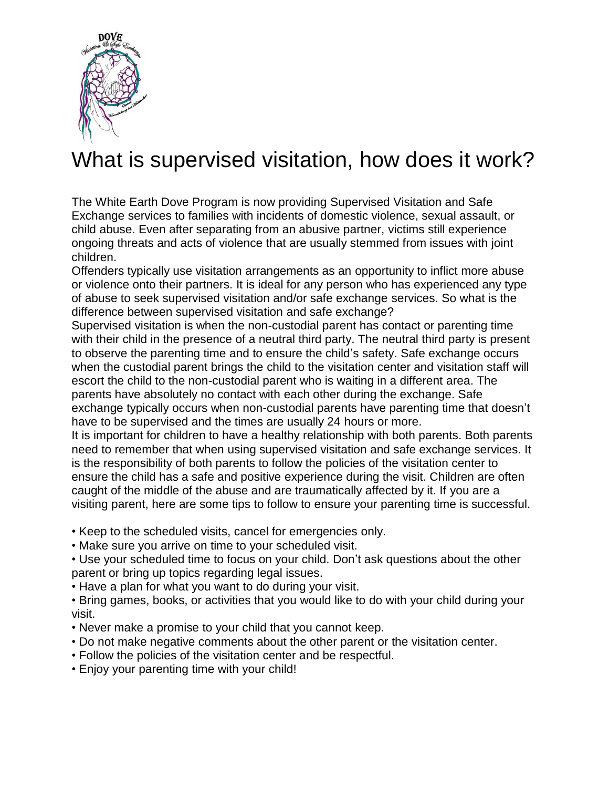

## What is supervised visitation, how does it work?

The White Earth Dove Program is now providing Supervised Visitation and Safe Exchange services to families with incidents of domestic violence, sexual assault, or child abuse. Even after separating from an abusive partner, victims still experience ongoing threats and acts of violence that are usually stemmed from issues with joint children.

Offenders typically use visitation arrangements as an opportunity to inflict more abuse or violence onto their partners. It is ideal for any person who has experienced any type of abuse to seek supervised visitation and/or safe exchange services. So what is the difference between supervised visitation and safe exchange?

Supervised visitation is when the non-custodial parent has contact or parenting time with their child in the presence of a neutral third party. The neutral third party is present to observe the parenting time and to ensure the child's safety. Safe exchange occurs when the custodial parent brings the child to the visitation center and visitation staff will escort the child to the non-custodial parent who is waiting in a different area. The parents have absolutely no contact with each other during the exchange. Safe exchange typically occurs when non-custodial parents have parenting time that doesn't have to be supervised and the times are usually 24 hours or more.

It is important for children to have a healthy relationship with both parents. Both parents need to remember that when using supervised visitation and safe exchange services. It is the responsibility of both parents to follow the policies of the visitation center to ensure the child has a safe and positive experience during the visit. Children are often caught of the middle of the abuse and are traumatically affected by it. If you are a visiting parent, here are some tips to follow to ensure your parenting time is successful.

• Keep to the scheduled visits, cancel for emergencies only.

• Make sure you arrive on time to your scheduled visit.

• Use your scheduled time to focus on your child. Don't ask questions about the other parent or bring up topics regarding legal issues.

• Have a plan for what you want to do during your visit.

• Bring games, books, or activities that you would like to do with your child during your visit.

- Never make a promise to your child that you cannot keep.
- Do not make negative comments about the other parent or the visitation center.
- Follow the policies of the visitation center and be respectful.
- Enjoy your parenting time with your child!